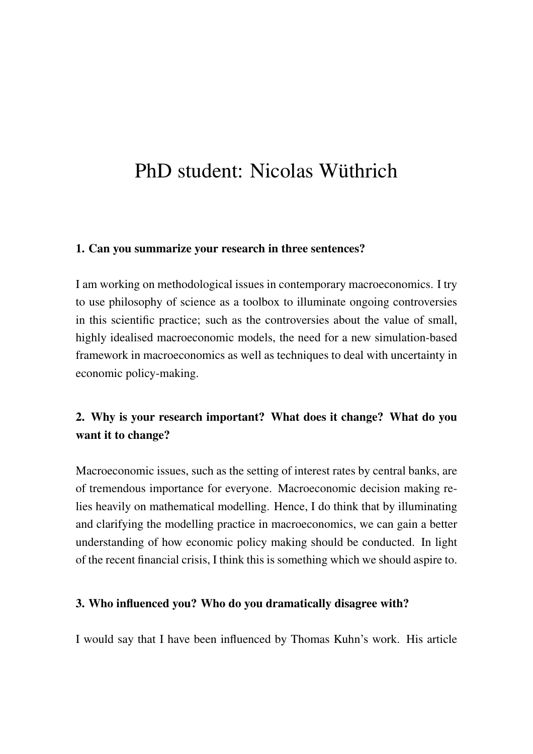# PhD student: Nicolas Wüthrich

#### 1. Can you summarize your research in three sentences?

I am working on methodological issues in contemporary macroeconomics. I try to use philosophy of science as a toolbox to illuminate ongoing controversies in this scientific practice; such as the controversies about the value of small, highly idealised macroeconomic models, the need for a new simulation-based framework in macroeconomics as well as techniques to deal with uncertainty in economic policy-making.

## 2. Why is your research important? What does it change? What do you want it to change?

Macroeconomic issues, such as the setting of interest rates by central banks, are of tremendous importance for everyone. Macroeconomic decision making relies heavily on mathematical modelling. Hence, I do think that by illuminating and clarifying the modelling practice in macroeconomics, we can gain a better understanding of how economic policy making should be conducted. In light of the recent financial crisis, I think this is something which we should aspire to.

#### 3. Who influenced you? Who do you dramatically disagree with?

I would say that I have been influenced by Thomas Kuhn's work. His article